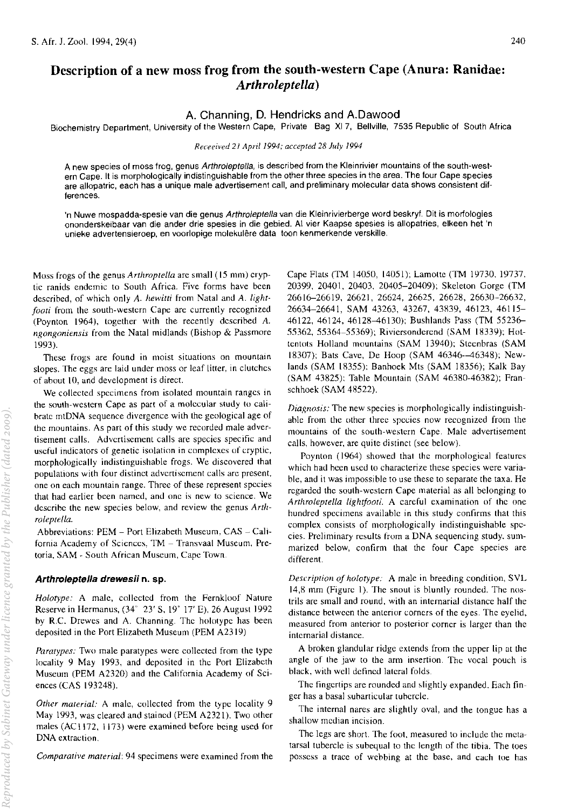# Description of a new moss frog from the south-western Cape (Anura: Ranidae: *Arthroleptella)*

# A. Channing, D. Hendricks and A.Dawood

Biochemistry Department, University of the Western Cape, Private Bag XI 7, Bellville, 7535 Republic of South Africa

#### *Receeived 2J April* 1994; *accepted* 28 *July 1994*

A new species of moss frog, genus Arthroleptella, is described from the Kleinrivier mountains of the south-western Cape. It is morphologically indistinguishable from the other three species in the area. The four Cape species are allopatric, each has a unique male advertisement call, and preliminary molecular data shows consistent differences.

'n Nuwe mospadda-spesie van die genus Arthroleptella van die Kleinrivierberge word beskryf. Dit is morfologies ononderskeibaar van die ander drie spesies in die gebied. AI vier Kaapse spesies is allopatries, elkeen het 'n unieke advertensieroep, en voorlopige molekulere data toon kenmerkende verskille.

Moss frogs of the genus *Arthroptella* are small (15 mm) cryptic ranids endemic to South Africa. Five forms have been described, of which only *A. hewitti* from Natal and A. *lightfoati* from the south-western Cape are currently recognized (Poynton 1964), together with the recently dcscribed *A. ngongoniensis* from the Natal midlands (Bishop & Passmore 1993).

These frogs are found in moist situations on mountain slopes. The eggs are laid under moss or leaf litter, in clutches of about 10, and development is direct.

We collected specimens from isolated mountain ranges in the south-western Cape as part of a molecular study to calibrate mtDNA sequence divergence with the geological age of the mountains. As part of this study we recorded male advertisement calls. Advertisement calls are species specific and useful indicators of genetic isolation in complexes of cryptic, morphologically indistinguishable frogs. We discovered that populations with four distinct advertisement calls are present, one on each mountain range. Three of these represent species that had earlier been named, and one is new to science. We descrihe the new species below, and review the genus *Arthraleptella.* 

Abbreviations: PEM - Port Elizabeth Museum, CAS - California Academy of Sciences, TM - Transvaal Museum, Pretoria, SAM - South African Museum, Cape Town.

#### Arthroleptella drewesii n. sp.

*Holotype:* A male, collected from the Fernkloof Nature Reserve in Hermanus, (34" 23' S, 19' 17' E), 26 August 1992 by R.c. Drewes and A. Channing. Thc holotypc has been deposited in the Port Elizabeth Museum (PEM A2319)

*Paratypes:* Two male paratypes were collected from the type locality 9 May 1993, and deposited in the Port Elizabeth Museum (PEM A2320) and the California Academy of Sciences (CAS 193248).

*Other material:* A male, collected from the type locality 9 May 1993, was cleared and staincd (PEM A2321). Two other males (ACII72, 1173) were examined before being used for DNA extraction.

*Comparative material:* 94 specimens were examined from the

Cape Flats (TM 14050, 14051); Lamotte (TM 19730, 19737, 20399, 20401, 20403, 20405-20409); Skeleton Gorge (TM 26616-26619, 26621, 26624, 26625, 26628, 26630-26632, 26634-26641, SAM 43263, 43267, 43839, 46123, 46115- 46122,46124,46128-46130); Bushlands Pass (TM 55236- 55362, 55364-55369); Riviersonderend (SAM 18339); Hottcntots Holland mountains (SAM 13940); Stecnbras (SAM 18307); Bats Cave, De Hoop (SAM 46346--46348); Newlands (SAM 18355): Banhoek Mts (SAM 18356); Kalk Bay (SAM 43825): Table Mountain (SAM 46380-46382); Franschhoek (SAM 48522).

*Diagnosis:* The new species is morphologically indistinguishahle from the other three species now recognized from the mountains of the south-western Cape. Male advertisement calls. however, are quite distinct (see below).

Poynton (1964) showed that thc morphological featurcs which had heen used to characterize these species were variable, and it was impossible to use these to separate the taxa. He regarded the south-western Cape material as all belonging to *Arthroleptella lightfooti.* A careful examination of the one hundred specimens available in this study confirms that this complex consists of morphologically indistinguishable species. Preliminary results from a DNA sequencing study, summarized below, confirm that the four Cape species are different.

*Description of holotype:* A male in breeding condition, SVL 14,8 mm (Figurc 1). The snout is bluntly rounded. The nostrils are small and round, with an internarial distance half the distance hetween the anterior corners of the eyes. The eyelid, measured from anterior to posterior corner is larger than the internarial distance.

A broken glandular ridge extends from the upper lip at the angle of the jaw to the arm insertion. The vocal pouch is black, with well defined lateral folds.

The fingertips are rounded and slightly expanded. Each finger has a basal suharticular tuhercle.

The internal nares are slightly oval, and the tongue has a shallow median incision.

The legs are short. The foot, measured to include the metatarsal tubercle is suhequal to the length of the tibia. The toes possess a trace of wehbing at the base, and each toe has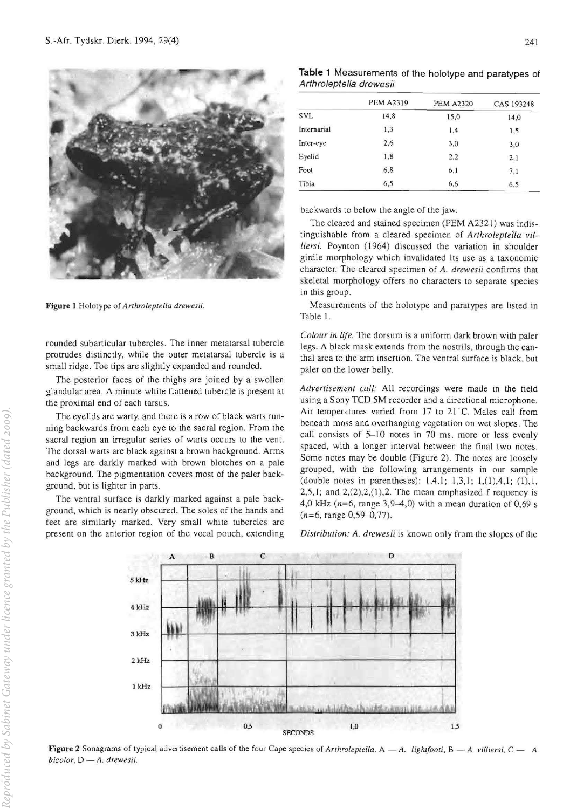

**Figure 1 Holotype of** *Arthroleptella drewesii.* 

**rounded subanicular tubercles. The inner metatarsal tubercle**  protrudes distinctly, while the outer metatarsal tubercle is a small ridge. Toe tips are slightly expanded and rounded.

The posterior faces of the thighs are joined by a swollen **glandular area. A minute white flattened tubercle is present at the proximal end of each tarsus.** 

**The eyelids are warty, and lhere is a row of black warts running backwards from each eye to the sacral region. From the sacral region an irregular series of warts occurs to the vent. The dorsal warts are black against a brown background. Arms**  and legs are darkly marked with brown blotches on a pale background. The pigmentation covers most of the paler back**ground. but is lighter in pans.** 

The ventral surface is darkly marked against a pale background, which is nearly obscured . The soles of the hands and **feel are similarly marked. Very small white tubercles are present on the anterior region of the vocal pouch, extending** 

**Table 1** Measurements of the holotype and paratypes of Arthro/eptella drewesii

|             | <b>PEM A2319</b> | <b>PEM A2320</b> | CAS 193248 |
|-------------|------------------|------------------|------------|
| <b>SVL</b>  | 14,8             | 15,0             | 14,0       |
| Internarial | 1,3              | 1,4              | 1,5        |
| Inter-eye   | 2,6              | 3,0              | 3,0        |
| Eyelid      | 1,8              | 2,2              | 2,1        |
| Foot        | 6,8              | 6,1              | 7,1        |
| Tibia       | 6,5              | 6,6              | 6,5        |

backwards to below the angle of the jaw.

The cleared and stained specimen (PEM A2321) was indistinguishable from a cleared specimen of *Arlhroleplella villiersi.* Poynton (1964) discussed the variation in shoulder girdle morphology which invalidated its use as a taxonomic **character. The cleared specimen of A.** *drewesii* **confirms that skeletal morphology offers no characters to separate species**  in this group.

Measurements of the holotype and paralypes are listed in Table I.

**COIOlif** *in* **life. The dorsum is a uniform dark brown with paler**  legs. A black mask extends from the nostrils, through the can**thal area to the arm inserrion. The ventral surface is black, but**  paler on the lower belly.

*Advertisement call:* All recordings were made in the fteld **using a Sony TeD 5M recorder and a directional microphone.**  Air temperatures varied from 17 to 21°C. Males call from **beneath moss and overhanging vegetation on wet slopes. The call consists of 5-10 notes in 70 ms, more or less evenly spaced, witb a longer interval between the final two notes.**  Some notes may be double (Figure 2). The notes are loosely **grouped, with the following arrangements in our sample**  (double notes in parentheses):  $1,4,1$ ;  $1,3,1$ ;  $1,(1),4,1$ ;  $(1),1$ ,  $2,5,1$ ; and  $2,(2),2,(1),2$ . The mean emphasized frequency is 4,0 kHz *(n=6,* range 3,9-4,0) with a mean duration of 0,69 s  $(n=6, \text{ range } 0.59 - 0.77)$ .

*Distribution:* **A.** *drewesii* **is known only from the stopes of the** 



Figure 2 Sonagrams of typical advertisement calls of the four Cape species of Arthroleptella. A -A. lightfooti, B - A. villiersi, C - A.  $b$ *icolor*, D - A. drewesii.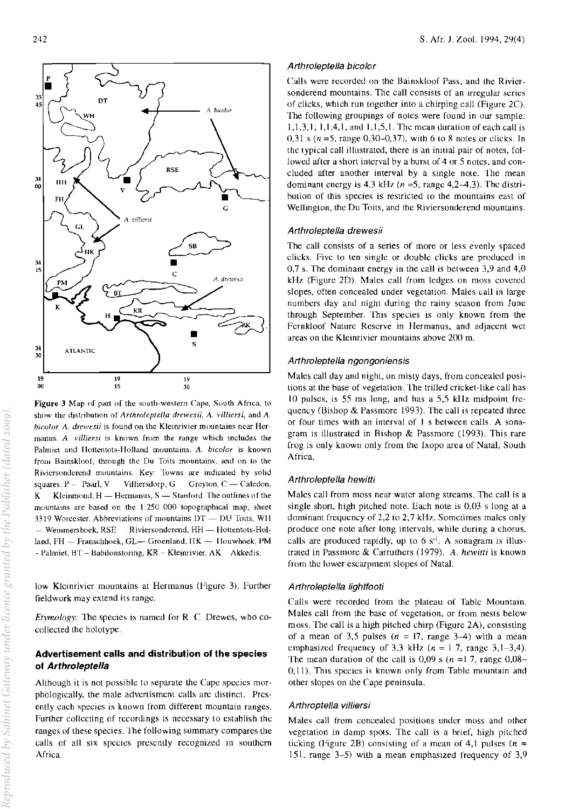

Figure 3 Map of part of the south-western Cape, South Africa, to show the distribution of *Arrhroleprella drewesii,* A *\'illjersi,* and A bicolor. A. drewesii is found on the Kleinrivier mountains near Hermanus. A. villiersi is known from the range which includes the Palmiet and Hottentots-Holland mountains. A. bicolor is known from Bainskloof, through the Du Toits mountains, and on to the Riviersonderend mountains. Key: Towns are indicated by solid squares.  $P -$  Paarl, V Villiersdorp, G Greyton, C - Caledon, K Kleinmond,  $H = Hermanus$ ,  $S =$  Stanford. The outlines of the mountains are based on the 1:250 000 topographical map, sheet 3319 Worcester. Abbreviations of mountains DT - DU Toits, WH - Wemmershoek, RSE Riviersonderend. HH - Hottentots-Holland, FH - Franschhoek, GL- Groenland, HK - Houwhoek, PM - Palmiet, BT - Babilonstoring, KR - Kleinrivier, AK Akkedis.

low Kleinrivier mountains at Hermanus (Figure 3). Further fieldwork may extend its range.

*Etymology:* 1he species is named [or R. C. Drewes, who cocollected the holotype.

# Advertisement calls and distribution of the species of Arthro/eptella

Although it is not possible to separate the Cape species morphologically, the male advertisment calls arc distinct. Presently each species is known from different mountain ranges. Further collecting of recordings is necessary to establish the ranges of these species. The following summary compares the calls of all six species presently recognized in southern Africa.

#### Arthroleptella bicolor

Calls were recorded on the Bainskloof Pass, and the Riviersonderend mountains, The call consists of an irregular series of clicks, which run together into a chirping call (Figure 2C), The following groupings of notes were found in our sample: 1,1,3,1; 1,1,4,1, and 1,1,5,1. The mean duration of each call is 0,31 s ( $n = 5$ , range 0,30–0,37), with 6 to 8 notes or clicks. In the typical call illustrated, there is an initial pair of notes, followed after a short interval by a burst of 4 or 5 notes. and concluded after another interval by a single note. 'lhe mean dominant energy is 4,3 kHz ( $n = 5$ , range 4,2-4,3). The distribution of this species is restricted to the mountains east of Wellington. the Du Toits. and the Riviersonderend mountains.

#### Arthroleptella drewesii

The call consists of a series of more or less evenly spaced clicks. Five to ten single or double clicks are produced in 0,7 s. The dominant energy in the call is between 3,9 and 4,0  $kHz$  (Figure 2D). Males call from ledges on moss covered slopes. often concealed under vegetation. Males call in large numbers day and night during the rainy season from June through September. This species is only known from the Fernkloof Nature Reserve in Hermanus. and adjacent wet areas on the Kleinrivier mountains above 200 m.

#### Arthroleptella ngongoniensis

Males call day and night. on misty days. from concealed positions at the base of vegetation. 1he trilled cricket-like call has 10 pulses, is 55 ms long, and has a 5,5 kHz midpoint frequency (Bishop & Passmore 1993). The call is repeated three or four times with an interval of I s between calls. A sonagram is illustrated in Bishop & Passmore (1993). This rare frog is only known only from the Ixopo area of Natal, South Africa.

#### Arthroleptella hewitti

Males call from moss near water along streams. The call is a single short, high pitched note. Each note is 0,03 s long at a dominant frequency of 2,2 to 2.7 kHz. Sometimes males only produce one note after long intervals. while during a chorus, calls are produced rapidly, up to  $6 s<sup>-1</sup>$ . A sonagram is illustrated in Passmore & Carruthers (1979). *A. hewitti* is known from the lower escarpment slopes of Natal.

### Arthroleptella lightfooti

Calls were recorded from the plateau of Table Mountain. Males call from the base of vegetation, or from nests below moss. The call is a high pitched chirp (Figure 2A), consisting of a mean of 3,5 pulses  $(n = 17, \text{ range } 3-4)$  with a mean emphasized frequency of 3,3 kHz ( $n = 1$  7, range 3,1-3,4). The mean duration of the call is 0,09 s ( $n = 17$ , range 0,08-0,11). This species is known only from Table mountain and other slopes on the Cape peninsula.

#### Arthroptella villiersi

Males call from concealed positions under moss and other vegetation in damp spots, The call is a brief. high pitched ticking (Figure 2B) consisting of a mean of 4,1 pulses ( $n =$ lSI, range 3-5) with a mean emphasized frequency of 3,9